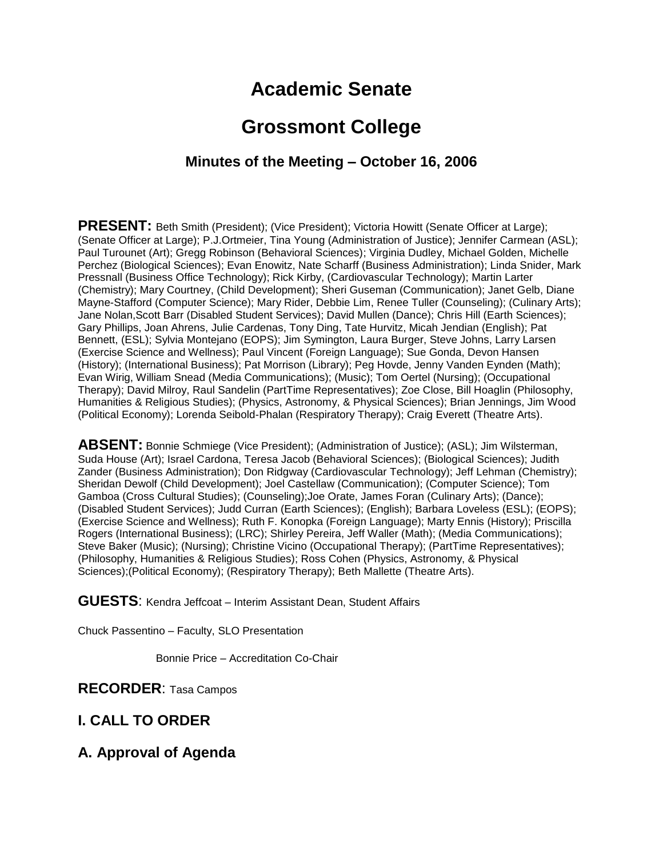# **Academic Senate**

# **Grossmont College**

## **Minutes of the Meeting – October 16, 2006**

**PRESENT:** Beth Smith (President); (Vice President); Victoria Howitt (Senate Officer at Large); (Senate Officer at Large); P.J.Ortmeier, Tina Young (Administration of Justice); Jennifer Carmean (ASL); Paul Turounet (Art); Gregg Robinson (Behavioral Sciences); Virginia Dudley, Michael Golden, Michelle Perchez (Biological Sciences); Evan Enowitz, Nate Scharff (Business Administration); Linda Snider, Mark Pressnall (Business Office Technology); Rick Kirby, (Cardiovascular Technology); Martin Larter (Chemistry); Mary Courtney, (Child Development); Sheri Guseman (Communication); Janet Gelb, Diane Mayne-Stafford (Computer Science); Mary Rider, Debbie Lim, Renee Tuller (Counseling); (Culinary Arts); Jane Nolan,Scott Barr (Disabled Student Services); David Mullen (Dance); Chris Hill (Earth Sciences); Gary Phillips, Joan Ahrens, Julie Cardenas, Tony Ding, Tate Hurvitz, Micah Jendian (English); Pat Bennett, (ESL); Sylvia Montejano (EOPS); Jim Symington, Laura Burger, Steve Johns, Larry Larsen (Exercise Science and Wellness); Paul Vincent (Foreign Language); Sue Gonda, Devon Hansen (History); (International Business); Pat Morrison (Library); Peg Hovde, Jenny Vanden Eynden (Math); Evan Wirig, William Snead (Media Communications); (Music); Tom Oertel (Nursing); (Occupational Therapy); David Milroy, Raul Sandelin (PartTime Representatives); Zoe Close, Bill Hoaglin (Philosophy, Humanities & Religious Studies); (Physics, Astronomy, & Physical Sciences); Brian Jennings, Jim Wood (Political Economy); Lorenda Seibold-Phalan (Respiratory Therapy); Craig Everett (Theatre Arts).

**ABSENT:** Bonnie Schmiege (Vice President); (Administration of Justice); (ASL); Jim Wilsterman, Suda House (Art); Israel Cardona, Teresa Jacob (Behavioral Sciences); (Biological Sciences); Judith Zander (Business Administration); Don Ridgway (Cardiovascular Technology); Jeff Lehman (Chemistry); Sheridan Dewolf (Child Development); Joel Castellaw (Communication); (Computer Science); Tom Gamboa (Cross Cultural Studies); (Counseling);Joe Orate, James Foran (Culinary Arts); (Dance); (Disabled Student Services); Judd Curran (Earth Sciences); (English); Barbara Loveless (ESL); (EOPS); (Exercise Science and Wellness); Ruth F. Konopka (Foreign Language); Marty Ennis (History); Priscilla Rogers (International Business); (LRC); Shirley Pereira, Jeff Waller (Math); (Media Communications); Steve Baker (Music); (Nursing); Christine Vicino (Occupational Therapy); (PartTime Representatives); (Philosophy, Humanities & Religious Studies); Ross Cohen (Physics, Astronomy, & Physical Sciences);(Political Economy); (Respiratory Therapy); Beth Mallette (Theatre Arts).

**GUESTS**: Kendra Jeffcoat – Interim Assistant Dean, Student Affairs

Chuck Passentino – Faculty, SLO Presentation

Bonnie Price – Accreditation Co-Chair

**RECORDER**: Tasa Campos

# **I. CALL TO ORDER**

#### **A. Approval of Agenda**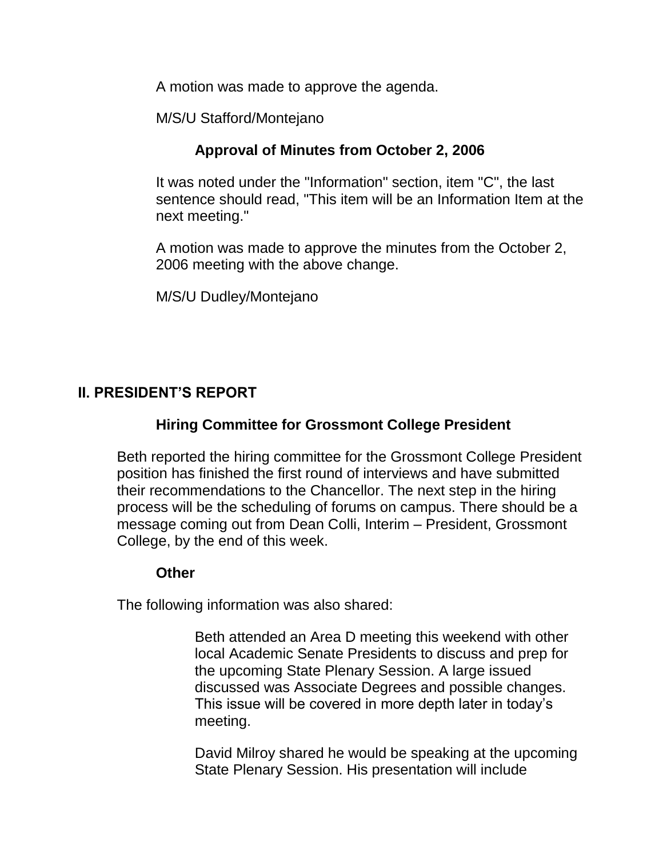A motion was made to approve the agenda.

M/S/U Stafford/Montejano

# **Approval of Minutes from October 2, 2006**

It was noted under the "Information" section, item "C", the last sentence should read, "This item will be an Information Item at the next meeting."

A motion was made to approve the minutes from the October 2, 2006 meeting with the above change.

M/S/U Dudley/Montejano

# **II. PRESIDENT'S REPORT**

# **Hiring Committee for Grossmont College President**

Beth reported the hiring committee for the Grossmont College President position has finished the first round of interviews and have submitted their recommendations to the Chancellor. The next step in the hiring process will be the scheduling of forums on campus. There should be a message coming out from Dean Colli, Interim – President, Grossmont College, by the end of this week.

#### **Other**

The following information was also shared:

Beth attended an Area D meeting this weekend with other local Academic Senate Presidents to discuss and prep for the upcoming State Plenary Session. A large issued discussed was Associate Degrees and possible changes. This issue will be covered in more depth later in today's meeting.

David Milroy shared he would be speaking at the upcoming State Plenary Session. His presentation will include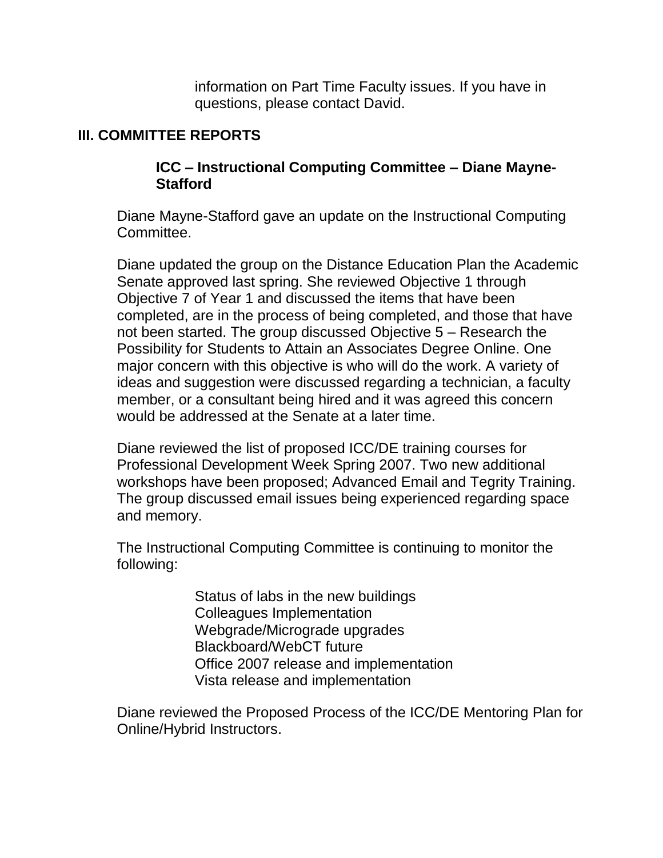information on Part Time Faculty issues. If you have in questions, please contact David.

## **III. COMMITTEE REPORTS**

#### **ICC – Instructional Computing Committee – Diane Mayne-Stafford**

Diane Mayne-Stafford gave an update on the Instructional Computing Committee.

Diane updated the group on the Distance Education Plan the Academic Senate approved last spring. She reviewed Objective 1 through Objective 7 of Year 1 and discussed the items that have been completed, are in the process of being completed, and those that have not been started. The group discussed Objective 5 – Research the Possibility for Students to Attain an Associates Degree Online. One major concern with this objective is who will do the work. A variety of ideas and suggestion were discussed regarding a technician, a faculty member, or a consultant being hired and it was agreed this concern would be addressed at the Senate at a later time.

Diane reviewed the list of proposed ICC/DE training courses for Professional Development Week Spring 2007. Two new additional workshops have been proposed; Advanced Email and Tegrity Training. The group discussed email issues being experienced regarding space and memory.

The Instructional Computing Committee is continuing to monitor the following:

> Status of labs in the new buildings Colleagues Implementation Webgrade/Micrograde upgrades Blackboard/WebCT future Office 2007 release and implementation Vista release and implementation

Diane reviewed the Proposed Process of the ICC/DE Mentoring Plan for Online/Hybrid Instructors.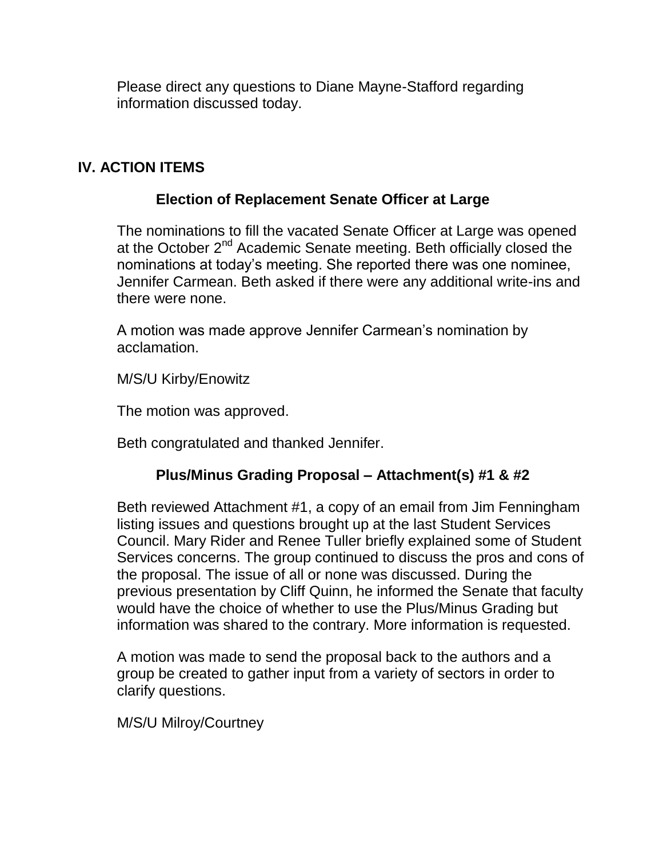Please direct any questions to Diane Mayne-Stafford regarding information discussed today.

#### **IV. ACTION ITEMS**

#### **Election of Replacement Senate Officer at Large**

The nominations to fill the vacated Senate Officer at Large was opened at the October 2<sup>nd</sup> Academic Senate meeting. Beth officially closed the nominations at today's meeting. She reported there was one nominee, Jennifer Carmean. Beth asked if there were any additional write-ins and there were none.

A motion was made approve Jennifer Carmean's nomination by acclamation.

M/S/U Kirby/Enowitz

The motion was approved.

Beth congratulated and thanked Jennifer.

# **Plus/Minus Grading Proposal – Attachment(s) #1 & #2**

Beth reviewed Attachment #1, a copy of an email from Jim Fenningham listing issues and questions brought up at the last Student Services Council. Mary Rider and Renee Tuller briefly explained some of Student Services concerns. The group continued to discuss the pros and cons of the proposal. The issue of all or none was discussed. During the previous presentation by Cliff Quinn, he informed the Senate that faculty would have the choice of whether to use the Plus/Minus Grading but information was shared to the contrary. More information is requested.

A motion was made to send the proposal back to the authors and a group be created to gather input from a variety of sectors in order to clarify questions.

M/S/U Milroy/Courtney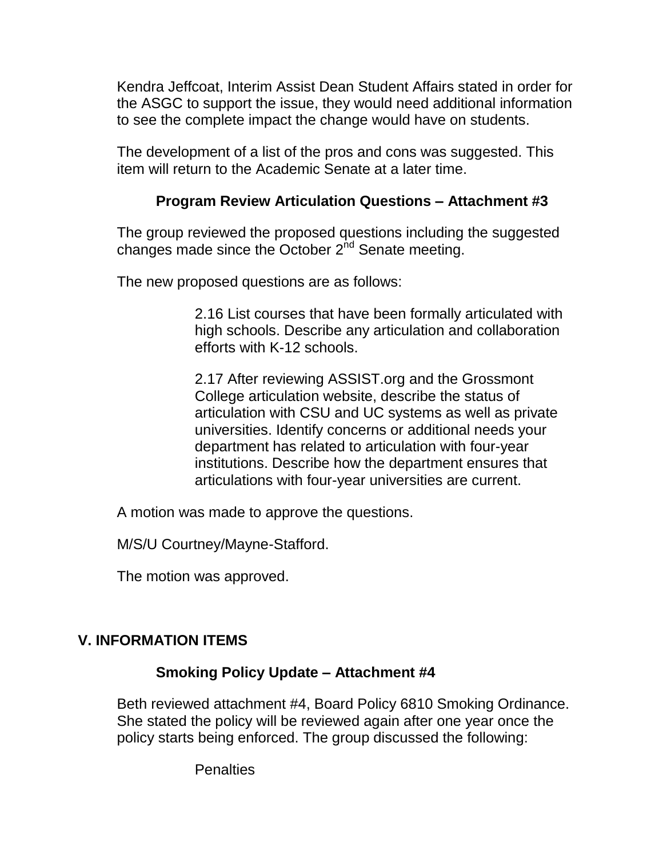Kendra Jeffcoat, Interim Assist Dean Student Affairs stated in order for the ASGC to support the issue, they would need additional information to see the complete impact the change would have on students.

The development of a list of the pros and cons was suggested. This item will return to the Academic Senate at a later time.

# **Program Review Articulation Questions – Attachment #3**

The group reviewed the proposed questions including the suggested changes made since the October 2<sup>nd</sup> Senate meeting.

The new proposed questions are as follows:

2.16 List courses that have been formally articulated with high schools. Describe any articulation and collaboration efforts with K-12 schools.

2.17 After reviewing ASSIST.org and the Grossmont College articulation website, describe the status of articulation with CSU and UC systems as well as private universities. Identify concerns or additional needs your department has related to articulation with four-year institutions. Describe how the department ensures that articulations with four-year universities are current.

A motion was made to approve the questions.

M/S/U Courtney/Mayne-Stafford.

The motion was approved.

# **V. INFORMATION ITEMS**

# **Smoking Policy Update – Attachment #4**

Beth reviewed attachment #4, Board Policy 6810 Smoking Ordinance. She stated the policy will be reviewed again after one year once the policy starts being enforced. The group discussed the following:

**Penalties**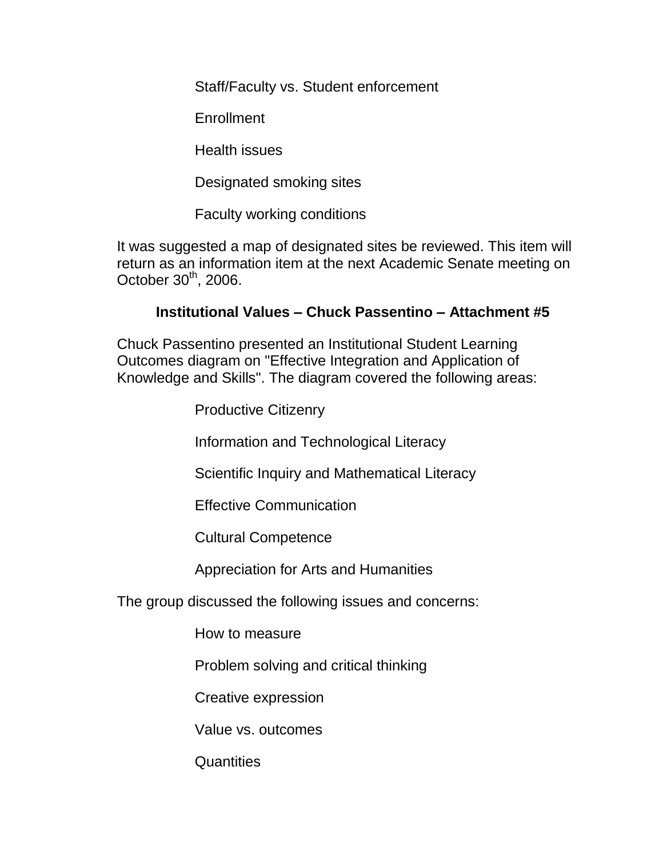Staff/Faculty vs. Student enforcement

**Enrollment** 

Health issues

Designated smoking sites

Faculty working conditions

It was suggested a map of designated sites be reviewed. This item will return as an information item at the next Academic Senate meeting on October  $30<sup>th</sup>$ , 2006.

# **Institutional Values – Chuck Passentino – Attachment #5**

Chuck Passentino presented an Institutional Student Learning Outcomes diagram on "Effective Integration and Application of Knowledge and Skills". The diagram covered the following areas:

Productive Citizenry

Information and Technological Literacy

Scientific Inquiry and Mathematical Literacy

Effective Communication

Cultural Competence

Appreciation for Arts and Humanities

The group discussed the following issues and concerns:

How to measure

Problem solving and critical thinking

Creative expression

Value vs. outcomes

**Quantities**